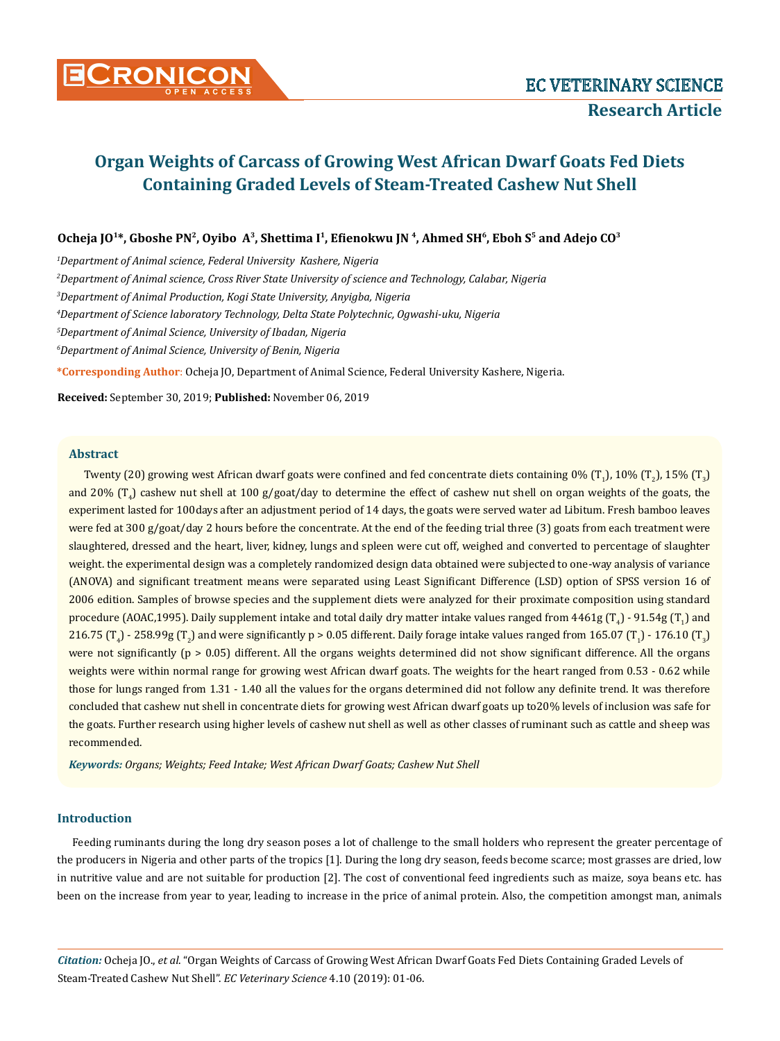

# **Organ Weights of Carcass of Growing West African Dwarf Goats Fed Diets Containing Graded Levels of Steam-Treated Cashew Nut Shell**

**Ocheja JO1\*, Gboshe PN2, Oyibo A3, Shettima I1, Efienokwu JN 4, Ahmed SH6, Eboh S5 and Adejo CO3**

*1 Department of Animal science, Federal University Kashere, Nigeria*

*2 Department of Animal science, Cross River State University of science and Technology, Calabar, Nigeria*

*3 Department of Animal Production, Kogi State University, Anyigba, Nigeria*

*4 Department of Science laboratory Technology, Delta State Polytechnic, Ogwashi-uku, Nigeria*

*5 Department of Animal Science, University of Ibadan, Nigeria*

*6 Department of Animal Science, University of Benin, Nigeria*

**\*Corresponding Author**: Ocheja JO, Department of Animal Science, Federal University Kashere, Nigeria.

**Received:** September 30, 2019; **Published:** November 06, 2019

#### **Abstract**

Twenty (20) growing west African dwarf goats were confined and fed concentrate diets containing  $0\%$  (T<sub>1</sub>), 10% (T<sub>2</sub>), 15% (T<sub>3</sub>) and 20% (T<sub>4</sub>) cashew nut shell at 100 g/goat/day to determine the effect of cashew nut shell on organ weights of the goats, the experiment lasted for 100days after an adjustment period of 14 days, the goats were served water ad Libitum. Fresh bamboo leaves were fed at 300 g/goat/day 2 hours before the concentrate. At the end of the feeding trial three (3) goats from each treatment were slaughtered, dressed and the heart, liver, kidney, lungs and spleen were cut off, weighed and converted to percentage of slaughter weight. the experimental design was a completely randomized design data obtained were subjected to one-way analysis of variance (ANOVA) and significant treatment means were separated using Least Significant Difference (LSD) option of SPSS version 16 of 2006 edition. Samples of browse species and the supplement diets were analyzed for their proximate composition using standard procedure (AOAC,1995). Daily supplement intake and total daily dry matter intake values ranged from 4461g (T<sub>4</sub>) - 91.54g (T<sub>4</sub>) and  $216.75$  (T<sub>4</sub>) -  $258.99$ g (T<sub>2</sub>) and were significantly p > 0.05 different. Daily forage intake values ranged from 165.07 (T<sub>1</sub>) - 176.10 (T<sub>3</sub>) were not significantly  $(p > 0.05)$  different. All the organs weights determined did not show significant difference. All the organs weights were within normal range for growing west African dwarf goats. The weights for the heart ranged from 0.53 - 0.62 while those for lungs ranged from 1.31 - 1.40 all the values for the organs determined did not follow any definite trend. It was therefore concluded that cashew nut shell in concentrate diets for growing west African dwarf goats up to20% levels of inclusion was safe for the goats. Further research using higher levels of cashew nut shell as well as other classes of ruminant such as cattle and sheep was recommended.

*Keywords: Organs; Weights; Feed Intake; West African Dwarf Goats; Cashew Nut Shell*

### **Introduction**

Feeding ruminants during the long dry season poses a lot of challenge to the small holders who represent the greater percentage of the producers in Nigeria and other parts of the tropics [1]. During the long dry season, feeds become scarce; most grasses are dried, low in nutritive value and are not suitable for production [2]. The cost of conventional feed ingredients such as maize, soya beans etc. has been on the increase from year to year, leading to increase in the price of animal protein. Also, the competition amongst man, animals

*Citation:* Ocheja JO., *et al*. "Organ Weights of Carcass of Growing West African Dwarf Goats Fed Diets Containing Graded Levels of Steam-Treated Cashew Nut Shell". *EC Veterinary Science* 4.10 (2019): 01-06.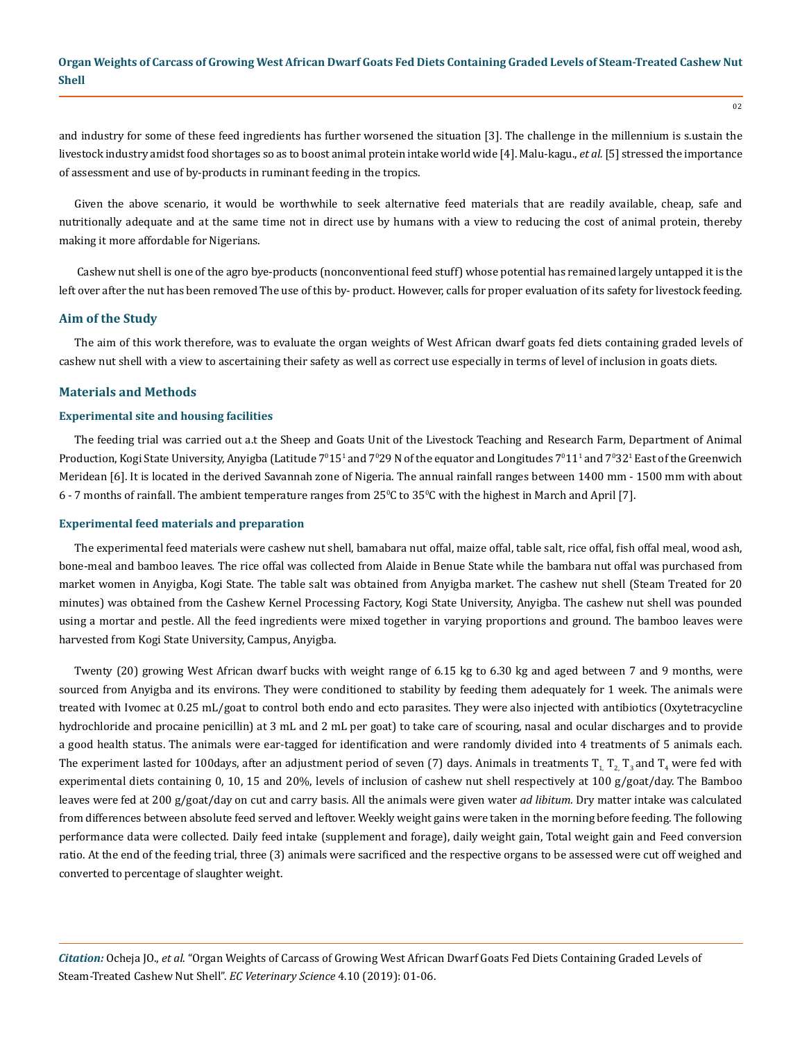and industry for some of these feed ingredients has further worsened the situation [3]. The challenge in the millennium is s.ustain the livestock industry amidst food shortages so as to boost animal protein intake world wide [4]. Malu-kagu., *et al.* [5] stressed the importance of assessment and use of by-products in ruminant feeding in the tropics.

Given the above scenario, it would be worthwhile to seek alternative feed materials that are readily available, cheap, safe and nutritionally adequate and at the same time not in direct use by humans with a view to reducing the cost of animal protein, thereby making it more affordable for Nigerians.

 Cashew nut shell is one of the agro bye-products (nonconventional feed stuff) whose potential has remained largely untapped it is the left over after the nut has been removed The use of this by- product. However, calls for proper evaluation of its safety for livestock feeding.

## **Aim of the Study**

The aim of this work therefore, was to evaluate the organ weights of West African dwarf goats fed diets containing graded levels of cashew nut shell with a view to ascertaining their safety as well as correct use especially in terms of level of inclusion in goats diets.

#### **Materials and Methods**

## **Experimental site and housing facilities**

The feeding trial was carried out a.t the Sheep and Goats Unit of the Livestock Teaching and Research Farm, Department of Animal Production, Kogi State University, Anyigba (Latitude 7º15<sup>1</sup> and 7º29 N of the equator and Longitudes 7º11<sup>1</sup> and 7º32<sup>1</sup> East of the Greenwich Meridean [6]. It is located in the derived Savannah zone of Nigeria. The annual rainfall ranges between 1400 mm - 1500 mm with about  $6$  -  $7$  months of rainfall. The ambient temperature ranges from  $25^{\circ}$ C to  $35^{\circ}$ C with the highest in March and April [7].

#### **Experimental feed materials and preparation**

The experimental feed materials were cashew nut shell, bamabara nut offal, maize offal, table salt, rice offal, fish offal meal, wood ash, bone-meal and bamboo leaves*.* The rice offal was collected from Alaide in Benue State while the bambara nut offal was purchased from market women in Anyigba, Kogi State. The table salt was obtained from Anyigba market. The cashew nut shell (Steam Treated for 20 minutes) was obtained from the Cashew Kernel Processing Factory, Kogi State University, Anyigba. The cashew nut shell was pounded using a mortar and pestle. All the feed ingredients were mixed together in varying proportions and ground. The bamboo leaves were harvested from Kogi State University, Campus, Anyigba.

Twenty (20) growing West African dwarf bucks with weight range of 6.15 kg to 6.30 kg and aged between 7 and 9 months, were sourced from Anyigba and its environs. They were conditioned to stability by feeding them adequately for 1 week. The animals were treated with Ivomec at 0.25 mL/goat to control both endo and ecto parasites. They were also injected with antibiotics (Oxytetracycline hydrochloride and procaine penicillin) at 3 mL and 2 mL per goat) to take care of scouring, nasal and ocular discharges and to provide a good health status. The animals were ear-tagged for identification and were randomly divided into 4 treatments of 5 animals each. The experiment lasted for 100days, after an adjustment period of seven (7) days. Animals in treatments  $T_{1}$ ,  $T_{2}$ ,  $T_{3}$  and  $T_{4}$  were fed with experimental diets containing 0, 10, 15 and 20%, levels of inclusion of cashew nut shell respectively at 100 g/goat/day. The Bamboo leaves were fed at 200 g/goat/day on cut and carry basis. All the animals were given water *ad libitum.* Dry matter intake was calculated from differences between absolute feed served and leftover. Weekly weight gains were taken in the morning before feeding. The following performance data were collected. Daily feed intake (supplement and forage), daily weight gain, Total weight gain and Feed conversion ratio. At the end of the feeding trial, three (3) animals were sacrificed and the respective organs to be assessed were cut off weighed and converted to percentage of slaughter weight.

*Citation:* Ocheja JO., *et al*. "Organ Weights of Carcass of Growing West African Dwarf Goats Fed Diets Containing Graded Levels of Steam-Treated Cashew Nut Shell". *EC Veterinary Science* 4.10 (2019): 01-06.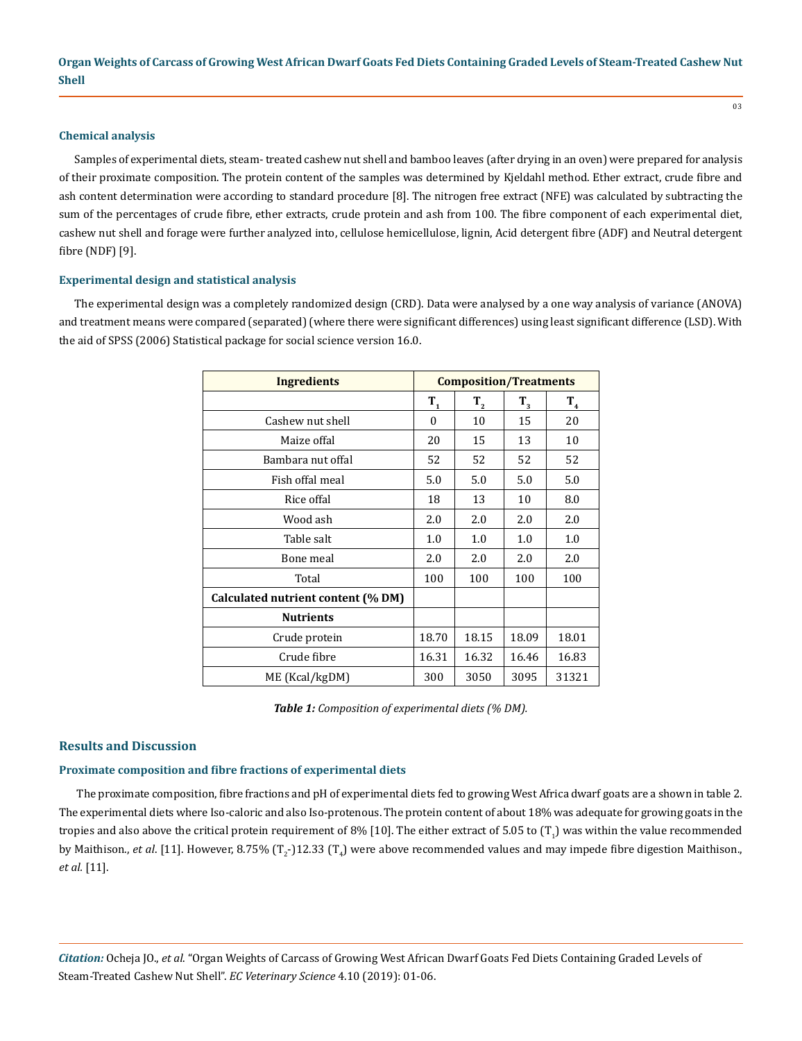## **Chemical analysis**

Samples of experimental diets, steam- treated cashew nut shell and bamboo leaves (after drying in an oven) were prepared for analysis of their proximate composition. The protein content of the samples was determined by Kjeldahl method. Ether extract, crude fibre and ash content determination were according to standard procedure [8]. The nitrogen free extract (NFE) was calculated by subtracting the sum of the percentages of crude fibre, ether extracts, crude protein and ash from 100. The fibre component of each experimental diet, cashew nut shell and forage were further analyzed into, cellulose hemicellulose, lignin, Acid detergent fibre (ADF) and Neutral detergent fibre (NDF) [9].

#### **Experimental design and statistical analysis**

The experimental design was a completely randomized design (CRD). Data were analysed by a one way analysis of variance (ANOVA) and treatment means were compared (separated) (where there were significant differences) using least significant difference (LSD). With the aid of SPSS (2006) Statistical package for social science version 16.0.

| <b>Ingredients</b>                 | <b>Composition/Treatments</b> |         |         |         |
|------------------------------------|-------------------------------|---------|---------|---------|
|                                    | $T_{1}$                       | $T_{2}$ | $T_{3}$ | $T_{4}$ |
| Cashew nut shell                   | $\theta$                      | 10      | 15      | 20      |
| Maize offal                        | 20                            | 15      | 13      | 10      |
| Bambara nut offal                  | 52                            | 52      | 52      | 52      |
| Fish offal meal                    |                               | 5.0     | 5.0     | 5.0     |
| Rice offal                         | 18                            | 13      | 10      | 8.0     |
| Wood ash                           | 2.0                           | 2.0     | 2.0     | 2.0     |
| Table salt                         | 1.0                           | 1.0     | 1.0     | 1.0     |
| Bone meal                          | 2.0                           | 2.0     | 2.0     | 2.0     |
| Total                              | 100                           | 100     | 100     | 100     |
| Calculated nutrient content (% DM) |                               |         |         |         |
| <b>Nutrients</b>                   |                               |         |         |         |
| Crude protein                      | 18.70                         | 18.15   | 18.09   | 18.01   |
| Crude fibre                        | 16.31                         | 16.32   | 16.46   | 16.83   |
| ME (Kcal/kgDM)                     | 300                           | 3050    | 3095    | 31321   |

*Table 1: Composition of experimental diets (% DM).*

## **Results and Discussion**

## **Proximate composition and fibre fractions of experimental diets**

The proximate composition, fibre fractions and pH of experimental diets fed to growing West Africa dwarf goats are a shown in table 2. The experimental diets where Iso-caloric and also Iso-protenous. The protein content of about 18% was adequate for growing goats in the tropies and also above the critical protein requirement of 8% [10]. The either extract of 5.05 to  $(T_1)$  was within the value recommended by Maithison., *et al*. [11]. However, 8.75% (T<sub>2</sub>-)12.33 (T<sub>4</sub>) were above recommended values and may impede fibre digestion Maithison., *et al.* [11].

*Citation:* Ocheja JO., *et al*. "Organ Weights of Carcass of Growing West African Dwarf Goats Fed Diets Containing Graded Levels of Steam-Treated Cashew Nut Shell". *EC Veterinary Science* 4.10 (2019): 01-06.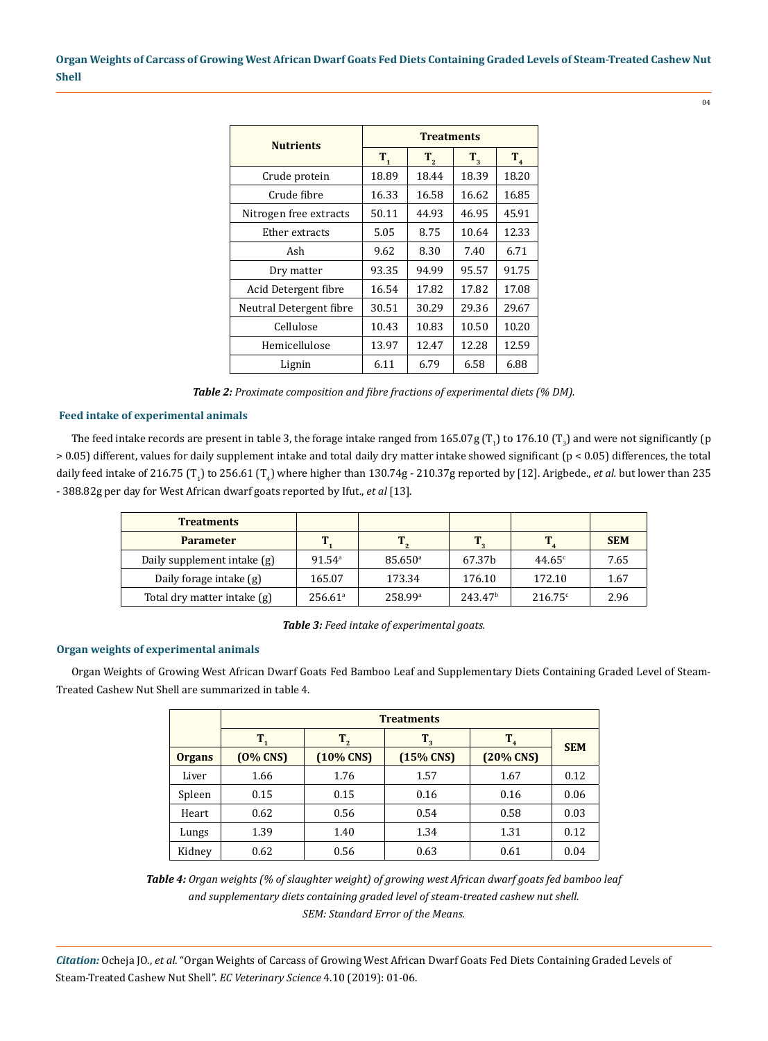| <b>Nutrients</b>        | <b>Treatments</b> |         |         |         |  |
|-------------------------|-------------------|---------|---------|---------|--|
|                         | $T_{1}$           | $T_{2}$ | $T_{3}$ | $T_{4}$ |  |
| Crude protein           | 18.89             | 18.44   | 18.39   | 18.20   |  |
| Crude fibre             | 16.33             | 16.58   | 16.62   | 16.85   |  |
| Nitrogen free extracts  | 50.11             | 44.93   | 46.95   | 45.91   |  |
| Ether extracts          | 5.05              | 8.75    | 10.64   | 12.33   |  |
| Ash                     | 9.62              | 8.30    | 7.40    | 6.71    |  |
| Dry matter              | 93.35             | 94.99   | 95.57   | 91.75   |  |
| Acid Detergent fibre    | 16.54             | 17.82   | 17.82   | 17.08   |  |
| Neutral Detergent fibre | 30.51             | 30.29   | 29.36   | 29.67   |  |
| Cellulose               | 10.43             | 10.83   | 10.50   | 10.20   |  |
| Hemicellulose           | 13.97             | 12.47   | 12.28   | 12.59   |  |
| Lignin                  | 6.11              | 6.79    | 6.58    | 6.88    |  |

*Table 2: Proximate composition and fibre fractions of experimental diets (% DM).* 

## **Feed intake of experimental animals**

The feed intake records are present in table 3, the forage intake ranged from  $165.07$ g (T<sub>1</sub>) to  $176.10$  (T<sub>3</sub>) and were not significantly (p > 0.05) different, values for daily supplement intake and total daily dry matter intake showed significant (p < 0.05) differences, the total daily feed intake of 216.75 (T<sub>1</sub>) to 256.61 (T<sub>4</sub>) where higher than 130.74g - 210.37g reported by [12]. Arigbede., *et al.* but lower than 235 - 388.82g per day for West African dwarf goats reported by Ifut., *et al* [13].

| <b>Treatments</b>           |                       |                       |                     |                 |            |
|-----------------------------|-----------------------|-----------------------|---------------------|-----------------|------------|
| <b>Parameter</b>            |                       |                       |                     |                 | <b>SEM</b> |
| Daily supplement intake (g) | $91.54$ <sup>a</sup>  | $85.650$ <sup>a</sup> | 67.37 <sub>b</sub>  | $44.65^{\circ}$ | 7.65       |
| Daily forage intake (g)     | 165.07                | 173.34                | 176.10              | 172.10          | 1.67       |
| Total dry matter intake (g) | $256.61$ <sup>a</sup> | 258.99a               | 243.47 <sup>b</sup> | 216.75c         | 2.96       |

*Table 3: Feed intake of experimental goats.*

## **Organ weights of experimental animals**

Organ Weights of Growing West African Dwarf Goats Fed Bamboo Leaf and Supplementary Diets Containing Graded Level of Steam-Treated Cashew Nut Shell are summarized in table 4.

|               | <b>Treatments</b> |              |             |                        |            |  |
|---------------|-------------------|--------------|-------------|------------------------|------------|--|
|               |                   | $T_{2}$      | $T_3$       | Т.                     | <b>SEM</b> |  |
| <b>Organs</b> | $(0\%$ CNS)       | $(10\%$ CNS) | $(15%$ CNS) | $(20\% \, \text{CNS})$ |            |  |
| Liver         | 1.66              | 1.76         | 1.57        | 1.67                   | 0.12       |  |
| Spleen        | 0.15              | 0.15         | 0.16        | 0.16                   | 0.06       |  |
| Heart         | 0.62              | 0.56         | 0.54        | 0.58                   | 0.03       |  |
| Lungs         | 1.39              | 1.40         | 1.34        | 1.31                   | 0.12       |  |
| Kidney        | 0.62              | 0.56         | 0.63        | 0.61                   | 0.04       |  |

*Table 4: Organ weights (% of slaughter weight) of growing west African dwarf goats fed bamboo leaf and supplementary diets containing graded level of steam-treated cashew nut shell. SEM: Standard Error of the Means.*

*Citation:* Ocheja JO., *et al*. "Organ Weights of Carcass of Growing West African Dwarf Goats Fed Diets Containing Graded Levels of Steam-Treated Cashew Nut Shell". *EC Veterinary Science* 4.10 (2019): 01-06.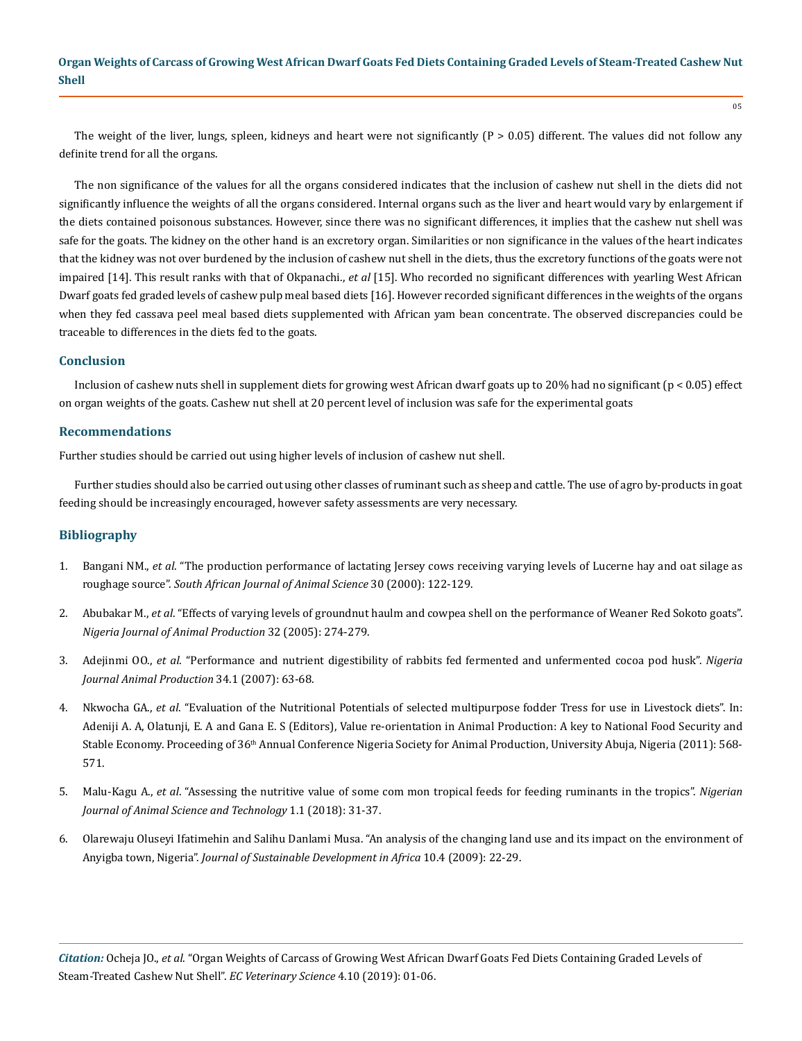The weight of the liver, lungs, spleen, kidneys and heart were not significantly  $(P > 0.05)$  different. The values did not follow any definite trend for all the organs.

The non significance of the values for all the organs considered indicates that the inclusion of cashew nut shell in the diets did not significantly influence the weights of all the organs considered. Internal organs such as the liver and heart would vary by enlargement if the diets contained poisonous substances. However, since there was no significant differences, it implies that the cashew nut shell was safe for the goats. The kidney on the other hand is an excretory organ. Similarities or non significance in the values of the heart indicates that the kidney was not over burdened by the inclusion of cashew nut shell in the diets, thus the excretory functions of the goats were not impaired [14]. This result ranks with that of Okpanachi., *et al* [15]. Who recorded no significant differences with yearling West African Dwarf goats fed graded levels of cashew pulp meal based diets [16]. However recorded significant differences in the weights of the organs when they fed cassava peel meal based diets supplemented with African yam bean concentrate. The observed discrepancies could be traceable to differences in the diets fed to the goats.

## **Conclusion**

Inclusion of cashew nuts shell in supplement diets for growing west African dwarf goats up to 20% had no significant (p < 0.05) effect on organ weights of the goats. Cashew nut shell at 20 percent level of inclusion was safe for the experimental goats

## **Recommendations**

Further studies should be carried out using higher levels of inclusion of cashew nut shell.

Further studies should also be carried out using other classes of ruminant such as sheep and cattle. The use of agro by-products in goat feeding should be increasingly encouraged, however safety assessments are very necessary.

## **Bibliography**

- 1. Bangani NM., *et al*[. "The production performance of lactating Jersey cows receiving varying levels of Lucerne hay and oat silage as](https://www.ajol.info/index.php/sajas/article/view/3886)  roughage source". *[South African Journal of Animal Science](https://www.ajol.info/index.php/sajas/article/view/3886)* 30 (2000): 122-129.
- 2. Abubakar M., *et al*. "Effects of varying levels of groundnut haulm and cowpea shell on the performance of Weaner Red Sokoto goats". *Nigeria Journal of Animal Production* 32 (2005): 274-279.
- 3. Adejinmi OO., *et al*. "Performance and nutrient digestibility of rabbits fed fermented and unfermented cocoa pod husk". *Nigeria Journal Animal Production* 34.1 (2007): 63-68.
- 4. Nkwocha GA., *et al*. "Evaluation of the Nutritional Potentials of selected multipurpose fodder Tress for use in Livestock diets". In: Adeniji A. A, Olatunji, E. A and Gana E. S (Editors), Value re-orientation in Animal Production: A key to National Food Security and Stable Economy. Proceeding of 36<sup>th</sup> Annual Conference Nigeria Society for Animal Production, University Abuja, Nigeria (2011): 568-571.
- 5. Malu-Kagu A., *et al*. "Assessing the nutritive value of some com mon tropical feeds for feeding ruminants in the tropics". *Nigerian Journal of Animal Science and Technology* 1.1 (2018): 31-37.
- 6. [Olarewaju Oluseyi Ifatimehin and Salihu Danlami Musa. "An analysis of the changing land use and its impact on the environment of](https://www.researchgate.net/publication/43077661_An_Analysis_of_the_Changing_Land_Use_and_Its_Impact_on_the_Environment_of_Anyigba_Town_Nigeria)  Anyigba town, Nigeria". *[Journal of Sustainable Development in Africa](https://www.researchgate.net/publication/43077661_An_Analysis_of_the_Changing_Land_Use_and_Its_Impact_on_the_Environment_of_Anyigba_Town_Nigeria)* 10.4 (2009): 22-29.

*Citation:* Ocheja JO., *et al*. "Organ Weights of Carcass of Growing West African Dwarf Goats Fed Diets Containing Graded Levels of Steam-Treated Cashew Nut Shell". *EC Veterinary Science* 4.10 (2019): 01-06.